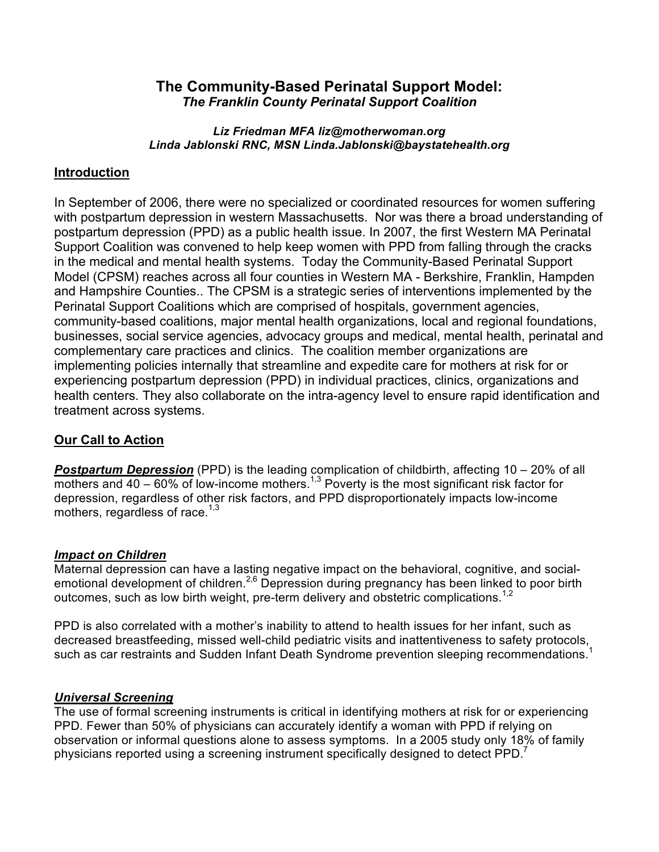# **The Community-Based Perinatal Support Model:** *The Franklin County Perinatal Support Coalition*

#### *Liz Friedman MFA liz@motherwoman.org Linda Jablonski RNC, MSN Linda.Jablonski@baystatehealth.org*

# **Introduction**

In September of 2006, there were no specialized or coordinated resources for women suffering with postpartum depression in western Massachusetts. Nor was there a broad understanding of postpartum depression (PPD) as a public health issue. In 2007, the first Western MA Perinatal Support Coalition was convened to help keep women with PPD from falling through the cracks in the medical and mental health systems. Today the Community-Based Perinatal Support Model (CPSM) reaches across all four counties in Western MA - Berkshire, Franklin, Hampden and Hampshire Counties.. The CPSM is a strategic series of interventions implemented by the Perinatal Support Coalitions which are comprised of hospitals, government agencies, community-based coalitions, major mental health organizations, local and regional foundations, businesses, social service agencies, advocacy groups and medical, mental health, perinatal and complementary care practices and clinics. The coalition member organizations are implementing policies internally that streamline and expedite care for mothers at risk for or experiencing postpartum depression (PPD) in individual practices, clinics, organizations and health centers. They also collaborate on the intra-agency level to ensure rapid identification and treatment across systems.

# **Our Call to Action**

*Postpartum Depression* (PPD) is the leading complication of childbirth, affecting 10 – 20% of all mothers and 40 – 60% of low-income mothers.<sup>1,3</sup> Poverty is the most significant risk factor for depression, regardless of other risk factors, and PPD disproportionately impacts low-income mothers, regardless of race. $1,3$ 

# *Impact on Children*

Maternal depression can have a lasting negative impact on the behavioral, cognitive, and socialemotional development of children.2,6 Depression during pregnancy has been linked to poor birth outcomes, such as low birth weight, pre-term delivery and obstetric complications.<sup>1,2</sup>

PPD is also correlated with a mother's inability to attend to health issues for her infant, such as decreased breastfeeding, missed well-child pediatric visits and inattentiveness to safety protocols, such as car restraints and Sudden Infant Death Syndrome prevention sleeping recommendations.<sup>1</sup>

# *Universal Screening*

The use of formal screening instruments is critical in identifying mothers at risk for or experiencing PPD. Fewer than 50% of physicians can accurately identify a woman with PPD if relying on observation or informal questions alone to assess symptoms. In a 2005 study only 18% of family physicians reported using a screening instrument specifically designed to detect PPD.<sup>7</sup>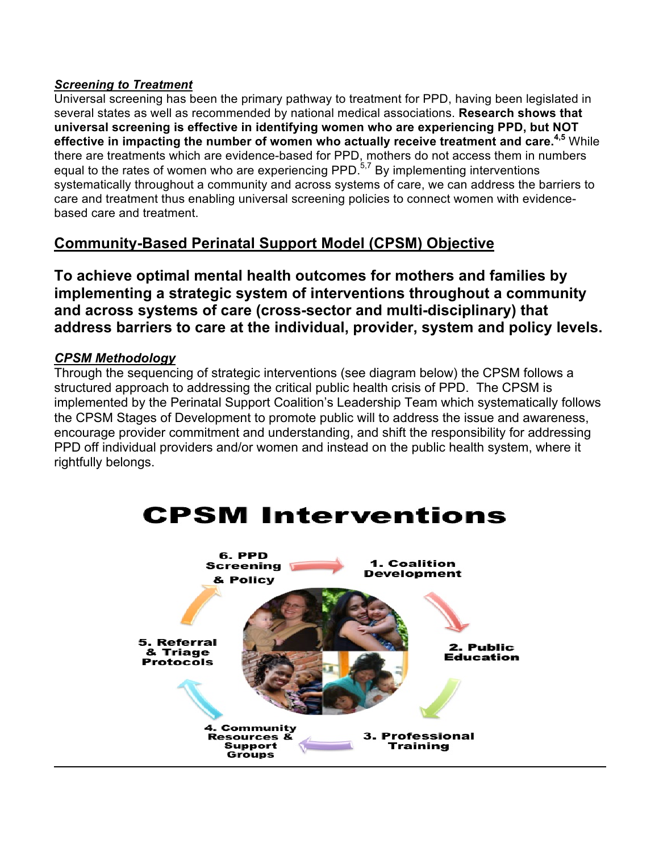## *Screening to Treatment*

Universal screening has been the primary pathway to treatment for PPD, having been legislated in several states as well as recommended by national medical associations. **Research shows that universal screening is effective in identifying women who are experiencing PPD, but NOT effective in impacting the number of women who actually receive treatment and care.4,5** While there are treatments which are evidence-based for PPD, mothers do not access them in numbers equal to the rates of women who are experiencing PPD. $5.7$  By implementing interventions systematically throughout a community and across systems of care, we can address the barriers to care and treatment thus enabling universal screening policies to connect women with evidencebased care and treatment.

# **Community-Based Perinatal Support Model (CPSM) Objective**

**To achieve optimal mental health outcomes for mothers and families by implementing a strategic system of interventions throughout a community and across systems of care (cross-sector and multi-disciplinary) that address barriers to care at the individual, provider, system and policy levels.**

# *CPSM Methodology*

Through the sequencing of strategic interventions (see diagram below) the CPSM follows a structured approach to addressing the critical public health crisis of PPD. The CPSM is implemented by the Perinatal Support Coalition's Leadership Team which systematically follows the CPSM Stages of Development to promote public will to address the issue and awareness, encourage provider commitment and understanding, and shift the responsibility for addressing PPD off individual providers and/or women and instead on the public health system, where it rightfully belongs.

# **CPSM Interventions**

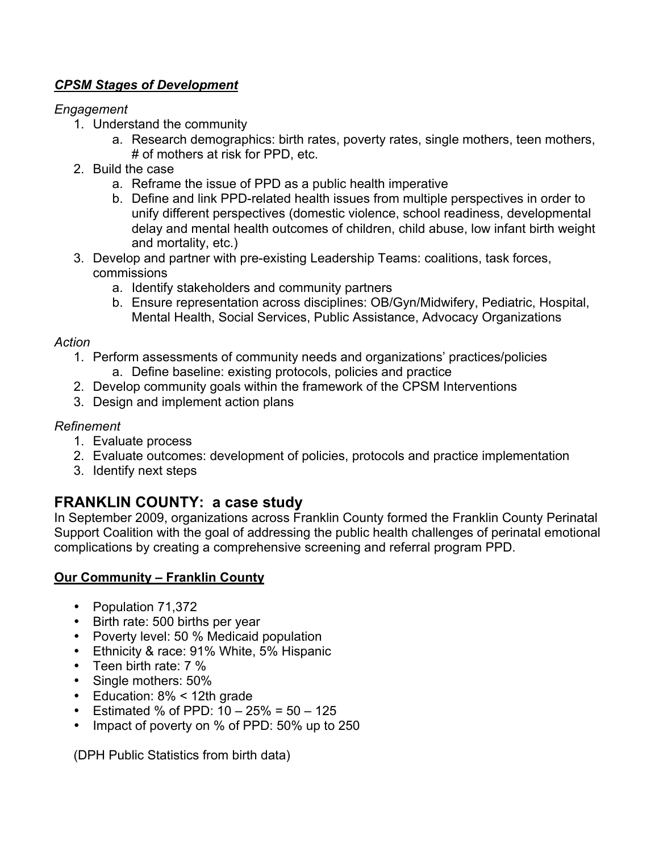# *CPSM Stages of Development*

# *Engagement*

- 1. Understand the community
	- a. Research demographics: birth rates, poverty rates, single mothers, teen mothers, # of mothers at risk for PPD, etc.
- 2. Build the case
	- a. Reframe the issue of PPD as a public health imperative
	- b. Define and link PPD-related health issues from multiple perspectives in order to unify different perspectives (domestic violence, school readiness, developmental delay and mental health outcomes of children, child abuse, low infant birth weight and mortality, etc.)
- 3. Develop and partner with pre-existing Leadership Teams: coalitions, task forces, commissions
	- a. Identify stakeholders and community partners
	- b. Ensure representation across disciplines: OB/Gyn/Midwifery, Pediatric, Hospital, Mental Health, Social Services, Public Assistance, Advocacy Organizations

# *Action*

- 1. Perform assessments of community needs and organizations' practices/policies a. Define baseline: existing protocols, policies and practice
- 2. Develop community goals within the framework of the CPSM Interventions
- 3. Design and implement action plans

# *Refinement*

- 1. Evaluate process
- 2. Evaluate outcomes: development of policies, protocols and practice implementation
- 3. Identify next steps

# **FRANKLIN COUNTY: a case study**

In September 2009, organizations across Franklin County formed the Franklin County Perinatal Support Coalition with the goal of addressing the public health challenges of perinatal emotional complications by creating a comprehensive screening and referral program PPD.

# **Our Community – Franklin County**

- Population 71,372
- Birth rate: 500 births per year
- Poverty level: 50 % Medicaid population
- Ethnicity & race: 91% White, 5% Hispanic
- Teen birth rate: 7 %
- Single mothers: 50%
- Education: 8% < 12th grade
- Estimated % of PPD:  $10 25\% = 50 125$
- Impact of poverty on % of PPD: 50% up to 250

(DPH Public Statistics from birth data)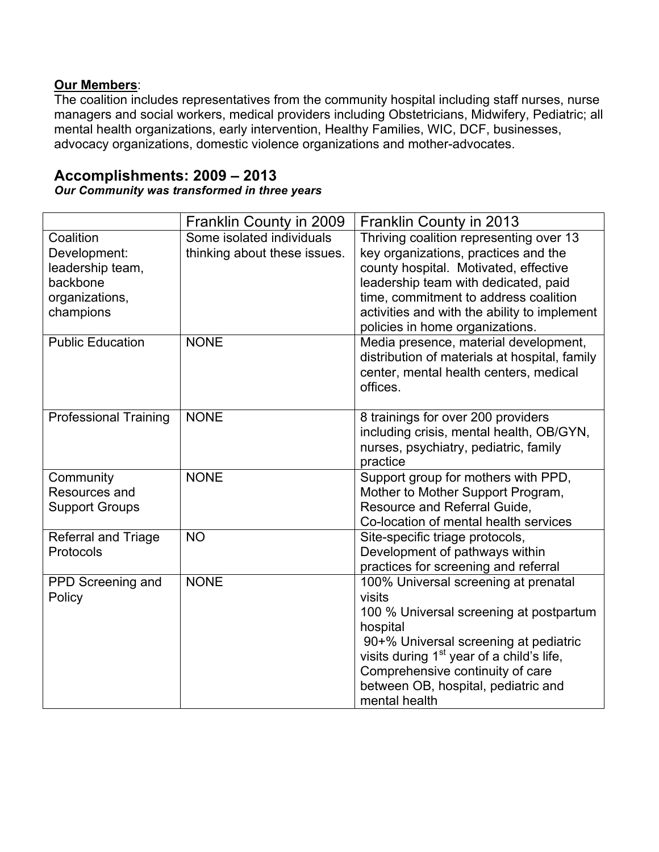# **Our Members**:

The coalition includes representatives from the community hospital including staff nurses, nurse managers and social workers, medical providers including Obstetricians, Midwifery, Pediatric; all mental health organizations, early intervention, Healthy Families, WIC, DCF, businesses, advocacy organizations, domestic violence organizations and mother-advocates.

# **Accomplishments: 2009 – 2013**

*Our Community was transformed in three years*

|                                                                                          | Franklin County in 2009                                   | Franklin County in 2013                                                                                                                                                                                                                                                                             |
|------------------------------------------------------------------------------------------|-----------------------------------------------------------|-----------------------------------------------------------------------------------------------------------------------------------------------------------------------------------------------------------------------------------------------------------------------------------------------------|
| Coalition<br>Development:<br>leadership team,<br>backbone<br>organizations,<br>champions | Some isolated individuals<br>thinking about these issues. | Thriving coalition representing over 13<br>key organizations, practices and the<br>county hospital. Motivated, effective<br>leadership team with dedicated, paid<br>time, commitment to address coalition<br>activities and with the ability to implement<br>policies in home organizations.        |
| <b>Public Education</b>                                                                  | <b>NONE</b>                                               | Media presence, material development,<br>distribution of materials at hospital, family<br>center, mental health centers, medical<br>offices.                                                                                                                                                        |
| <b>Professional Training</b>                                                             | <b>NONE</b>                                               | 8 trainings for over 200 providers<br>including crisis, mental health, OB/GYN,<br>nurses, psychiatry, pediatric, family<br>practice                                                                                                                                                                 |
| Community<br>Resources and<br><b>Support Groups</b>                                      | <b>NONE</b>                                               | Support group for mothers with PPD,<br>Mother to Mother Support Program,<br>Resource and Referral Guide,<br>Co-location of mental health services                                                                                                                                                   |
| Referral and Triage<br>Protocols                                                         | <b>NO</b>                                                 | Site-specific triage protocols,<br>Development of pathways within<br>practices for screening and referral                                                                                                                                                                                           |
| PPD Screening and<br>Policy                                                              | <b>NONE</b>                                               | 100% Universal screening at prenatal<br>visits<br>100 % Universal screening at postpartum<br>hospital<br>90+% Universal screening at pediatric<br>visits during 1 <sup>st</sup> year of a child's life,<br>Comprehensive continuity of care<br>between OB, hospital, pediatric and<br>mental health |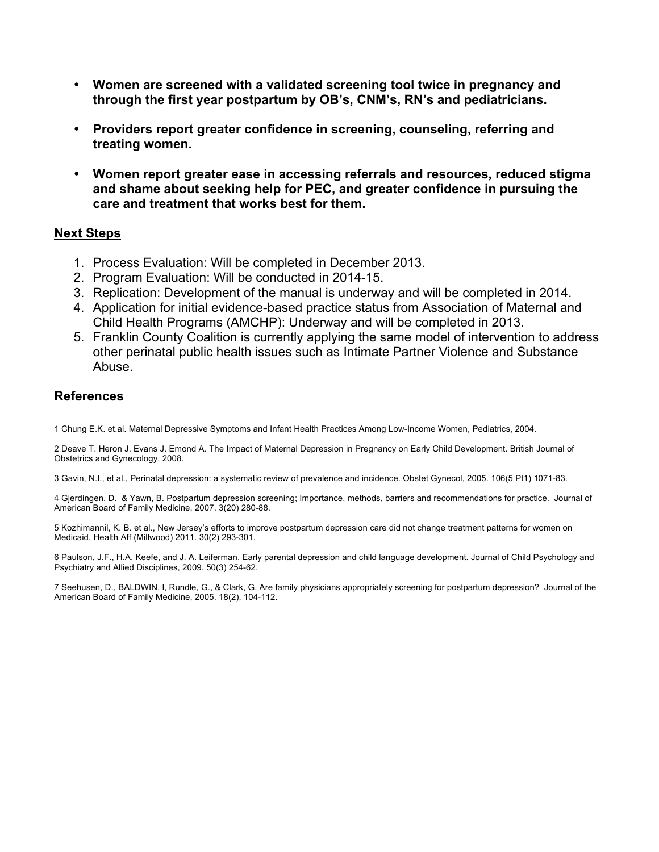- **Women are screened with a validated screening tool twice in pregnancy and through the first year postpartum by OB's, CNM's, RN's and pediatricians.**
- **Providers report greater confidence in screening, counseling, referring and treating women.**
- **Women report greater ease in accessing referrals and resources, reduced stigma and shame about seeking help for PEC, and greater confidence in pursuing the care and treatment that works best for them.**

#### **Next Steps**

- 1. Process Evaluation: Will be completed in December 2013.
- 2. Program Evaluation: Will be conducted in 2014-15.
- 3. Replication: Development of the manual is underway and will be completed in 2014.
- 4. Application for initial evidence-based practice status from Association of Maternal and Child Health Programs (AMCHP): Underway and will be completed in 2013.
- 5. Franklin County Coalition is currently applying the same model of intervention to address other perinatal public health issues such as Intimate Partner Violence and Substance Abuse.

## **References**

1 Chung E.K. et.al. Maternal Depressive Symptoms and Infant Health Practices Among Low-Income Women, Pediatrics, 2004.

2 Deave T. Heron J. Evans J. Emond A. The Impact of Maternal Depression in Pregnancy on Early Child Development. British Journal of Obstetrics and Gynecology, 2008.

3 Gavin, N.I., et al., Perinatal depression: a systematic review of prevalence and incidence. Obstet Gynecol, 2005. 106(5 Pt1) 1071-83.

4 Gjerdingen, D. & Yawn, B. Postpartum depression screening; Importance, methods, barriers and recommendations for practice. Journal of American Board of Family Medicine, 2007. 3(20) 280-88.

5 Kozhimannil, K. B. et al., New Jersey's efforts to improve postpartum depression care did not change treatment patterns for women on Medicaid. Health Aff (Millwood) 2011. 30(2) 293-301.

6 Paulson, J.F., H.A. Keefe, and J. A. Leiferman, Early parental depression and child language development. Journal of Child Psychology and Psychiatry and Allied Disciplines, 2009. 50(3) 254-62.

7 Seehusen, D., BALDWIN, l, Rundle, G., & Clark, G. Are family physicians appropriately screening for postpartum depression? Journal of the American Board of Family Medicine, 2005. 18(2), 104-112.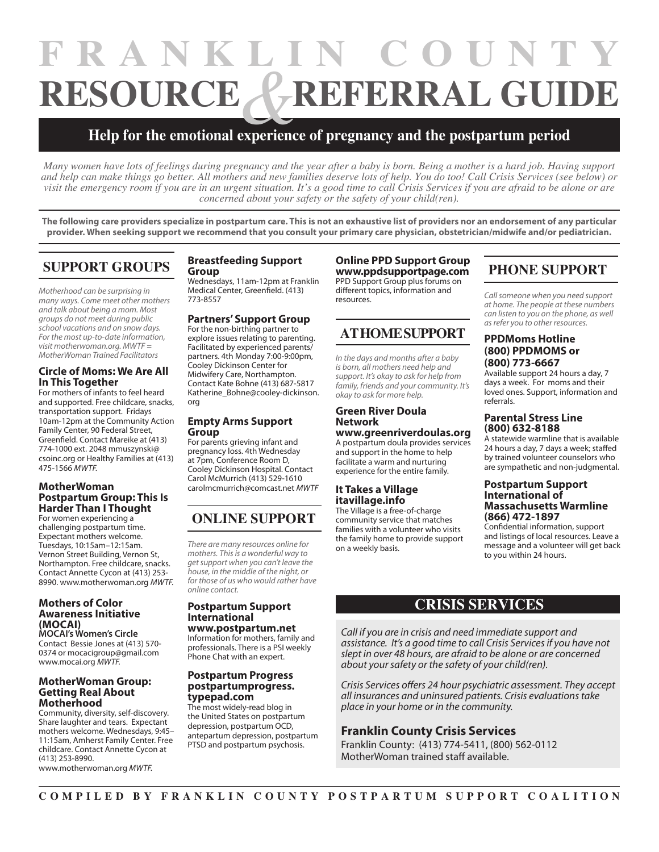# RESOURCE & REFERRAL GUIDE experience **FRANKLIN COUNTY**

# **Help for the emotional experience of pregnancy and the postpartum period**

*Many women have lots of feelings during pregnancy and the year after a baby is born. Being a mother is a hard job. Having support and help can make things go better. All mothers and new families deserve lots of help. You do too! Call Crisis Services (see below) or visit the emergency room if you are in an urgent situation. It's a good time to call Crisis Services if you are afraid to be alone or are concerned about your safety or the safety of your child(ren).*

**The following care providers specialize in postpartum care. This is not an exhaustive list of providers nor an endorsement of any particular provider. When seeking support we recommend that you consult your primary care physician, obstetrician/midwife and/or pediatrician.**

# **SUPPORT GROUPS**

*Motherhood can be surprising in many ways. Come meet other mothers and talk about being a mom. Most groups do not meet during public school vacations and on snow days. For the most up-to-date information, visit motherwoman.org. MWTF = MotherWoman Trained Facilitators*

#### **Circle of Moms: We Are All In This Together**

For mothers of infants to feel heard and supported. Free childcare, snacks, transportation support. Fridays 10am-12pm at the Community Action Family Center, 90 Federal Street, Greenfield. Contact Mareike at (413) 774-1000 ext. 2048 mmuszynski@ csoinc.org or Healthy Families at (413) 475-1566 *MWTF.*

#### **MotherWoman Postpartum Group: This Is Harder Than I Thought**

For women experiencing a challenging postpartum time. Expectant mothers welcome. Tuesdays, 10:15am–12:15am. Vernon Street Building, Vernon St, Northampton. Free childcare, snacks. Contact Annette Cycon at (413) 253- 8990. www.motherwoman.org *MWTF.*

#### **Mothers of Color Awareness Initiative (MOCAI)**

**MOCAI's Women's Circle** Contact Bessie Jones at (413) 570- 0374 or mocacigroup@gmail.com www.mocai.org *MWTF.*

#### **MotherWoman Group: Getting Real About Motherhood**

Community, diversity, self-discovery. Share laughter and tears. Expectant mothers welcome. Wednesdays, 9:45– 11:15am, Amherst Family Center. Free childcare. Contact Annette Cycon at (413) 253-8990.

www.motherwoman.org *MWTF.*

#### **Breastfeeding Support Group**

Wednesdays, 11am-12pm at Franklin Medical Center, Greenfield. (413) 773-8557

#### **Partners' Support Group**

For the non-birthing partner to explore issues relating to parenting. Facilitated by experienced parents/ partners. 4th Monday 7:00-9:00pm, Cooley Dickinson Center for Midwifery Care, Northampton. Contact Kate Bohne (413) 687-5817 Katherine\_Bohne@cooley-dickinson. org

#### **Empty Arms Support Group**

For parents grieving infant and pregnancy loss. 4th Wednesday at 7pm, Conference Room D, Cooley Dickinson Hospital. Contact Carol McMurrich (413) 529-1610 carolmcmurrich@comcast.net *MWTF*

# **ONLINE SUPPORT**

*There are many resources online for mothers. This is a wonderful way to get support when you can't leave the house, in the middle of the night, or for those of us who would rather have online contact.*

#### **Postpartum Support International www.postpartum.net**

Information for mothers, family and professionals. There is a PSI weekly Phone Chat with an expert.

#### **Postpartum Progress postpartumprogress. typepad.com**

The most widely-read blog in the United States on postpartum depression, postpartum OCD, antepartum depression, postpartum PTSD and postpartum psychosis.

#### **Online PPD Support Group www.ppdsupportpage.com** PPD Support Group plus forums on different topics, information and resources.

# **AT HOME SUPPORT**

*In the days and months after a baby is born, all mothers need help and support. It's okay to ask for help from family, friends and your community. It's okay to ask for more help.*

#### **Green River Doula Network www.greenriverdoulas.org**

A postpartum doula provides services and support in the home to help facilitate a warm and nurturing experience for the entire family.

#### **It Takes a Village itavillage.info**

The Village is a free-of-charge community service that matches families with a volunteer who visits the family home to provide support on a weekly basis.

# **PHONE SUPPORT**

*Call someone when you need support at home. The people at these numbers can listen to you on the phone, as well as refer you to other resources.*

#### **PPDMoms Hotline (800) PPDMOMS or (800) 773-6667**

Available support 24 hours a day, 7 days a week. For moms and their loved ones. Support, information and referrals.

#### **Parental Stress Line (800) 632-8188**

A statewide warmline that is available 24 hours a day, 7 days a week; staffed by trained volunteer counselors who are sympathetic and non-judgmental.

#### **Postpartum Support International of Massachusetts Warmline (866) 472-1897**

Confidential information, support and listings of local resources. Leave a message and a volunteer will get back to you within 24 hours.

# **CRISIS SERVICES**

*Call if you are in crisis and need immediate support and assistance. It's a good time to call Crisis Services if you have not slept in over 48 hours, are afraid to be alone or are concerned about your safety or the safety of your child(ren).* 

*Crisis Services offers 24 hour psychiatric assessment. They accept all insurances and uninsured patients. Crisis evaluations take place in your home or in the community.*

#### **Franklin County Crisis Services**

Franklin County: (413) 774-5411, (800) 562-0112 MotherWoman trained staff available.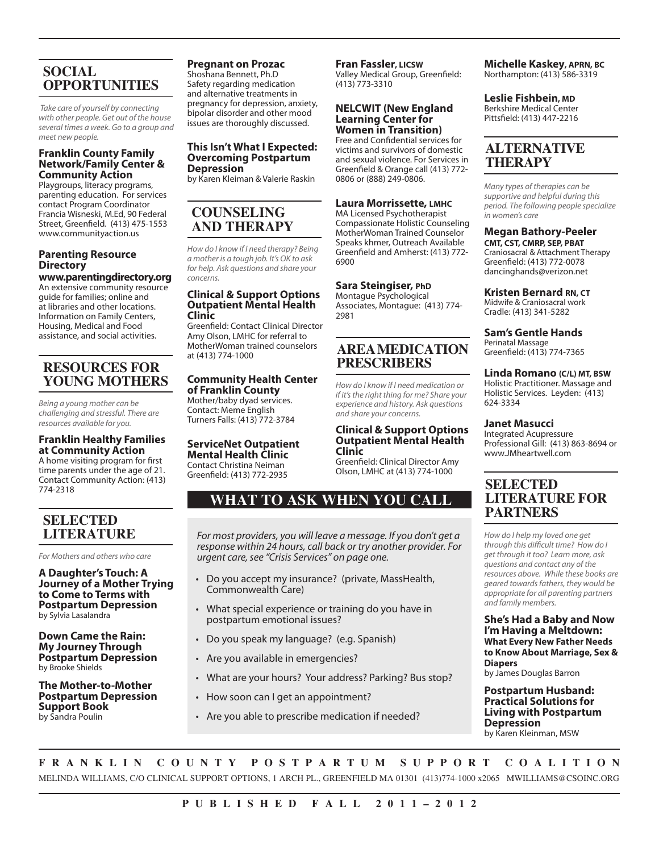# **SOCIAL OPPORTUNITIES**

 *Take care of yourself by connecting with other people. Get out of the house several times a week. Go to a group and meet new people.*

#### **Franklin County Family Network/Family Center & Community Action**

Playgroups, literacy programs, parenting education. For services contact Program Coordinator Francia Wisneski, M.Ed, 90 Federal Street, Greenfield. (413) 475-1553 www.communityaction.us

#### **Parenting Resource Directory**

**www.parentingdirectory.org** An extensive community resource guide for families; online and at libraries and other locations. Information on Family Centers, Housing, Medical and Food assistance, and social activities.

# **RESOURCES FOR YOUNG MOTHERS**

*Being a young mother can be challenging and stressful. There are resources available for you.*

#### **Franklin Healthy Families at Community Action**

A home visiting program for first time parents under the age of 21. Contact Community Action: (413) 774-2318

# **SELECTED LITERATURE**

*For Mothers and others who care*

**A Daughter's Touch: A Journey of a Mother Trying to Come to Terms with Postpartum Depression**  by Sylvia Lasalandra

**Down Came the Rain: My Journey Through Postpartum Depression** by Brooke Shields

**The Mother-to-Mother Postpartum Depression Support Book** by Sandra Poulin

## **Pregnant on Prozac**

Shoshana Bennett, Ph.D Safety regarding medication and alternative treatments in pregnancy for depression, anxiety, bipolar disorder and other mood issues are thoroughly discussed.

#### **This Isn't What I Expected: Overcoming Postpartum Depression**

by Karen Kleiman & Valerie Raskin

# **COUNSELING AND THERAPY**

*How do I know if I need therapy? Being a mother is a tough job. It's OK to ask for help. Ask questions and share your concerns.* 

#### **Clinical & Support Options Outpatient Mental Health Clinic**

Greenfield: Contact Clinical Director Amy Olson, LMHC for referral to MotherWoman trained counselors at (413) 774-1000

# **Community Health Center**

**of Franklin County** Mother/baby dyad services. Contact: Meme English Turners Falls: (413) 772-3784

#### **ServiceNet Outpatient Mental Health Clinic**

Contact Christina Neiman Greenfield: (413) 772-2935

#### **Fran Fassler, LICSW**

Valley Medical Group, Greenfield: (413) 773-3310

#### **NELCWIT (New England Learning Center for Women in Transition)**

Free and Confidential services for victims and survivors of domestic and sexual violence. For Services in Greenfield & Orange call (413) 772- 0806 or (888) 249-0806.

#### **Laura Morrissette, LMHC**

MA Licensed Psychotherapist Compassionate Holistic Counseling MotherWoman Trained Counselor Speaks khmer, Outreach Available Greenfield and Amherst: (413) 772- 6900

#### **Sara Steingiser, PhD**

Montague Psychological Associates, Montague: (413) 774- 2981

# **AREA MEDICATION PRESCRIBERS**

*How do I know if I need medication or if it's the right thing for me? Share your experience and history. Ask questions and share your concerns.*

#### **Clinical & Support Options Outpatient Mental Health Clinic**

Greenfield: Clinical Director Amy Olson, LMHC at (413) 774-1000

# **WHAT TO ASK WHEN YOU CALL**

*For most providers, you will leave a message. If you don't get a response within 24 hours, call back or try another provider. For urgent care, see "Crisis Services" on page one.*

- Do you accept my insurance? (private, MassHealth, Commonwealth Care)
- What special experience or training do you have in postpartum emotional issues?
- • Do you speak my language? (e.g. Spanish)
- Are you available in emergencies?
- What are your hours? Your address? Parking? Bus stop?
- How soon can I get an appointment?
- Are you able to prescribe medication if needed?

#### **Michelle Kaskey, APRN, BC** Northampton: (413) 586-3319

**Leslie Fishbein, MD** Berkshire Medical Center

Pittsfield: (413) 447-2216

## **ALTERNATIVE THERAPY**

*Many types of therapies can be supportive and helpful during this period. The following people specialize in women's care*

# **Megan Bathory-Peeler**

**CMT, CST, CMRP, SEP, PBAT** Craniosacral & Attachment Therapy Greenfield: (413) 772-0078 dancinghands@verizon.net

#### **Kristen Bernard RN, CT**

Midwife & Craniosacral work Cradle: (413) 341-5282

**Sam's Gentle Hands**

Perinatal Massage Greenfield: (413) 774-7365

#### **Linda Romano (C/L) MT, BSW** Holistic Practitioner. Massage and

Holistic Services. Leyden: (413) 624-3334

#### **Janet Masucci**

Integrated Acupressure Professional Gill: (413) 863-8694 or www.JMheartwell.com

### **SELECTED LITERATURE FOR PARTNERS**

*How do I help my loved one get through this difficult time? How do I get through it too? Learn more, ask questions and contact any of the resources above. While these books are geared towards fathers, they would be appropriate for all parenting partners and family members.*

**She's Had a Baby and Now I'm Having a Meltdown: What Every New Father Needs to Know About Marriage, Sex & Diapers** 

by James Douglas Barron

**Postpartum Husband: Practical Solutions for Living with Postpartum Depression**  by Karen Kleinman, MSW

**FRANKLIN COUNTY POSTPARTUM SUPPORT COALITION** MELINDA WILLIAMS, C/O CLINICAL SUPPORT OPTIONS, 1 ARCH PL., GREENFIELD MA 01301 (413)774-1000 x2065 MWILLIAMS@CSOINC.ORG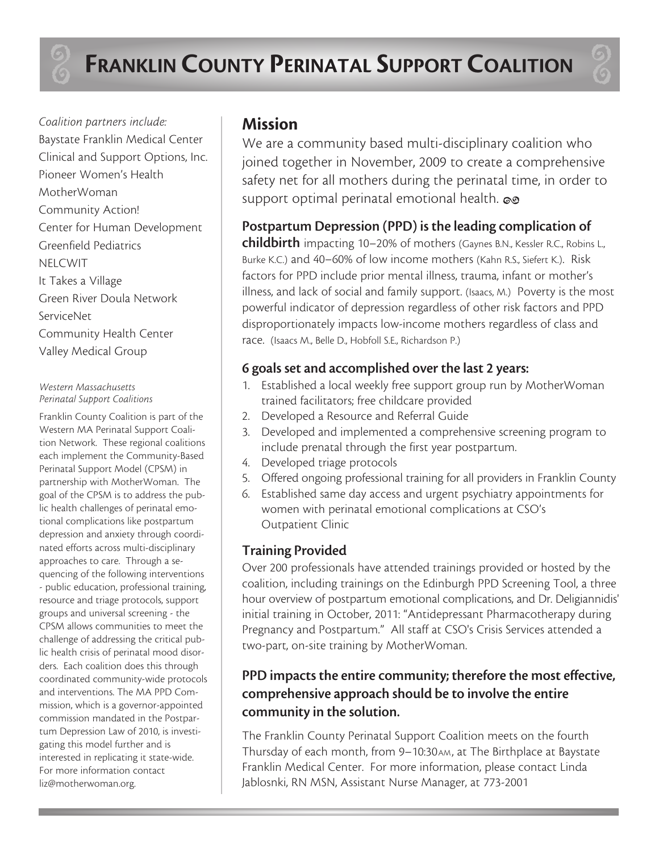*Coalition partners include:* Baystate Franklin Medical Center Clinical and Support Options, Inc. Pioneer Women's Health MotherWoman Community Action! Center for Human Development Greenfield Pediatrics NELCWIT It Takes a Village Green River Doula Network ServiceNet Community Health Center Valley Medical Group

#### *Western Massachusetts Perinatal Support Coalitions*

Franklin County Coalition is part of the Western MA Perinatal Support Coalition Network. These regional coalitions each implement the Community-Based Perinatal Support Model (CPSM) in partnership with MotherWoman. The goal of the CPSM is to address the public health challenges of perinatal emotional complications like postpartum depression and anxiety through coordinated efforts across multi-disciplinary approaches to care. Through a sequencing of the following interventions - public education, professional training, resource and triage protocols, support groups and universal screening - the CPSM allows communities to meet the challenge of addressing the critical public health crisis of perinatal mood disorders. Each coalition does this through coordinated community-wide protocols and interventions. The MA PPD Commission, which is a governor-appointed commission mandated in the Postpartum Depression Law of 2010, is investigating this model further and is interested in replicating it state-wide. For more information contact liz@motherwoman.org.

# **Mission**

We are a community based multi-disciplinary coalition who joined together in November, 2009 to create a comprehensive safety net for all mothers during the perinatal time, in order to support optimal perinatal emotional health. **i**

# **Postpartum Depression (PPD) is the leading complication of**

**childbirth** impacting 10–20% of mothers (Gaynes B.N., Kessler R.C., Robins L., Burke K.C.) and 40–60% of low income mothers (Kahn R.S., Siefert K.). Risk factors for PPD include prior mental illness, trauma, infant or mother's illness, and lack of social and family support. (Isaacs, M.) Poverty is the most powerful indicator of depression regardless of other risk factors and PPD disproportionately impacts low-income mothers regardless of class and race. (Isaacs M., Belle D., Hobfoll S.E., Richardson P.)

# **6 goals set and accomplished over the last 2 years:**

- 1. Established a local weekly free support group run by MotherWoman trained facilitators; free childcare provided
- 2. Developed a Resource and Referral Guide
- 3. Developed and implemented a comprehensive screening program to include prenatal through the first year postpartum.
- 4. Developed triage protocols
- 5. Offered ongoing professional training for all providers in Franklin County
- 6. Established same day access and urgent psychiatry appointments for women with perinatal emotional complications at CSO's Outpatient Clinic

# **Training Provided**

Over 200 professionals have attended trainings provided or hosted by the coalition, including trainings on the Edinburgh PPD Screening Tool, a three hour overview of postpartum emotional complications, and Dr. Deligiannidis' initial training in October, 2011: "Antidepressant Pharmacotherapy during Pregnancy and Postpartum." All staff at CSO's Crisis Services attended a two-part, on-site training by MotherWoman.

# **PPD impacts the entire community; therefore the most effective, comprehensive approach should be to involve the entire community in the solution.**

The Franklin County Perinatal Support Coalition meets on the fourth Thursday of each month, from 9-10:30AM, at The Birthplace at Baystate Franklin Medical Center. For more information, please contact Linda Jablosnki, RN MSN, Assistant Nurse Manager, at 773-2001